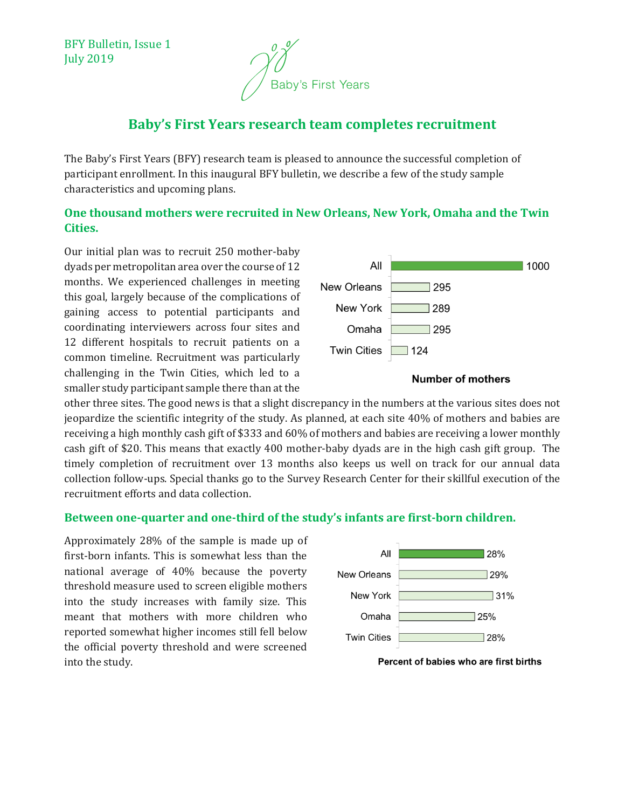BFY Bulletin, Issue 1 July 2019



# **Baby's First Years research team completes recruitment**

The Baby's First Years (BFY) research team is pleased to announce the successful completion of participant enrollment. In this inaugural BFY bulletin, we describe a few of the study sample characteristics and upcoming plans.

#### **One thousand mothers were recruited in New Orleans, New York, Omaha and the Twin Cities.**

Our initial plan was to recruit 250 mother-baby dyads per metropolitan area over the course of 12 months. We experienced challenges in meeting this goal, largely because of the complications of gaining access to potential participants and coordinating interviewers across four sites and 12 different hospitals to recruit patients on a common timeline. Recruitment was particularly challenging in the Twin Cities, which led to a smaller study participant sample there than at the



#### **Number of mothers**

other three sites. The good news is that a slight discrepancy in the numbers at the various sites does not jeopardize the scientific integrity of the study. As planned, at each site 40% of mothers and babies are receiving a high monthly cash gift of \$333 and 60% of mothers and babies are receiving a lower monthly cash gift of \$20. This means that exactly 400 mother-baby dyads are in the high cash gift group. The timely completion of recruitment over 13 months also keeps us well on track for our annual data collection follow-ups. Special thanks go to the Survey Research Center for their skillful execution of the recruitment efforts and data collection.

#### **Between one-quarter and one-third of the study's infants are first-born children.**

Approximately 28% of the sample is made up of first-born infants. This is somewhat less than the national average of 40% because the poverty threshold measure used to screen eligible mothers into the study increases with family size. This meant that mothers with more children who reported somewhat higher incomes still fell below the official poverty threshold and were screened into the study.



Percent of babies who are first births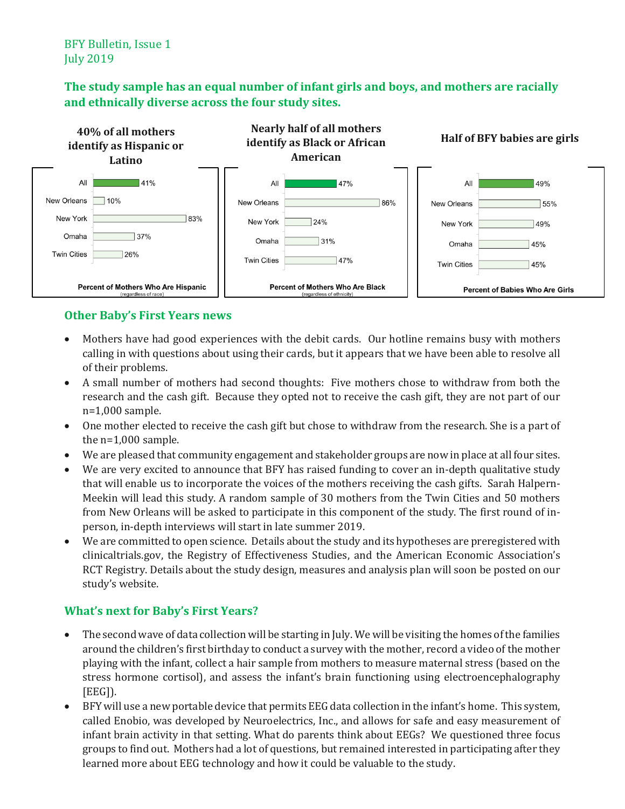BFY Bulletin, Issue 1 July 2019

## **The study sample has an equal number of infant girls and boys, and mothers are racially and ethnically diverse across the four study sites.**



### **Other Baby's First Years news**

- Mothers have had good experiences with the debit cards. Our hotline remains busy with mothers calling in with questions about using their cards, but it appears that we have been able to resolve all of their problems.
- A small number of mothers had second thoughts: Five mothers chose to withdraw from both the research and the cash gift. Because they opted not to receive the cash gift, they are not part of our n=1,000 sample.
- One mother elected to receive the cash gift but chose to withdraw from the research. She is a part of the n=1,000 sample.
- We are pleased that community engagement and stakeholder groups are now in place at all four sites.
- We are very excited to announce that BFY has raised funding to cover an in-depth qualitative study that will enable us to incorporate the voices of the mothers receiving the cash gifts. Sarah Halpern-Meekin will lead this study. A random sample of 30 mothers from the Twin Cities and 50 mothers from New Orleans will be asked to participate in this component of the study. The first round of inperson, in-depth interviews will start in late summer 2019.
- We are committed to open science. Details about the study and its hypotheses are preregistered with clinicaltrials.gov, the Registry of Effectiveness Studies, and the American Economic Association's RCT Registry. Details about the study design, measures and analysis plan will soon be posted on our study's website.

# **What's next for Baby's First Years?**

- The second wave of data collection will be starting in July. We will be visiting the homes of the families around the children's first birthday to conduct a survey with the mother, record a video of the mother playing with the infant, collect a hair sample from mothers to measure maternal stress (based on the stress hormone cortisol), and assess the infant's brain functioning using electroencephalography [EEG]).
- BFY will use a new portable device that permits EEG data collection in the infant's home. This system, called Enobio, was developed by Neuroelectrics, Inc., and allows for safe and easy measurement of infant brain activity in that setting. What do parents think about EEGs? We questioned three focus groups to find out. Mothers had a lot of questions, but remained interested in participating after they learned more about EEG technology and how it could be valuable to the study.